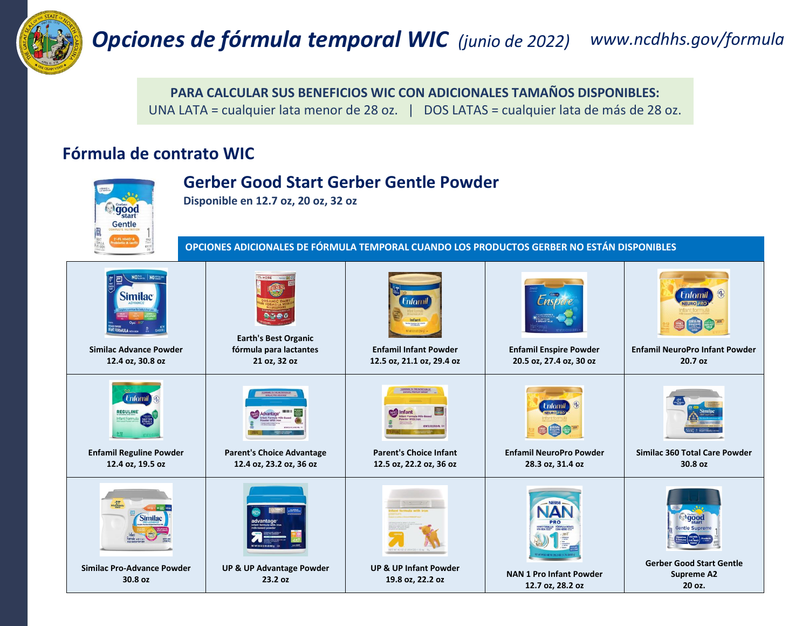

## *Opciones de fórmula temporal WIC (junio de 2022) www.ncdhhs.gov/formula*

**PARA CALCULAR SUS BENEFICIOS WIC CON ADICIONALES TAMAÑOS DISPONIBLES:**

UNA LATA = cualquier lata menor de 28 oz. | DOS LATAS = cualquier lata de más de 28 oz.

## **Fórmula de contrato WIC**

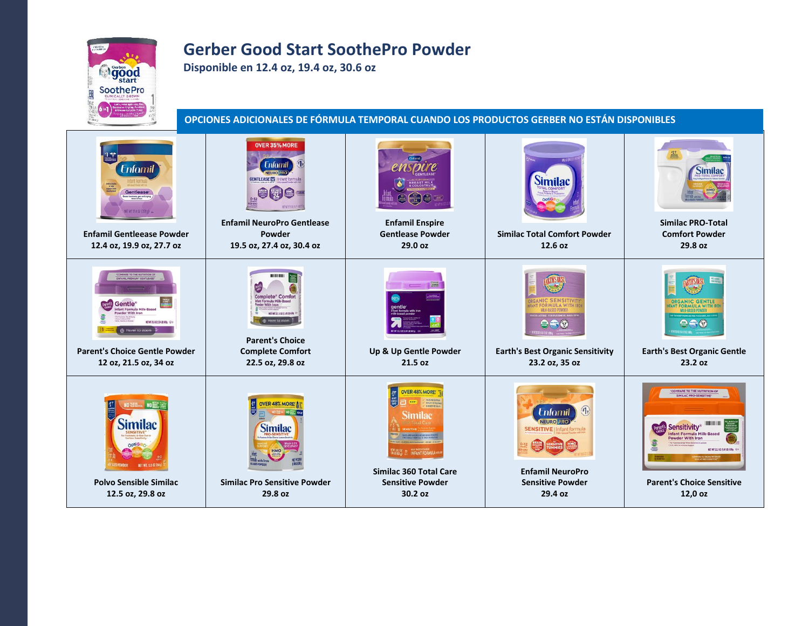## **Gerber Good Start SoothePro Powder**

**Disponible en 12.4 oz, 19.4 oz, 30.6 oz**

**ogood** SoothePro

**OPCIONES ADICIONALES DE FÓRMULA TEMPORAL CUANDO LOS PRODUCTOS GERBER NO ESTÁN DISPONIBLES**

| <b>Enfamil</b><br><b>Gentlease</b><br>es fussiness, gas and crying<br>KET WT 12.4 SZ (352 n) .<br><b>Enfamil Gentleease Powder</b><br>12.4 oz, 19.9 oz, 27.7 oz                   | OVER 35% MORE<br><b>Enfomil</b><br><b>GENTLEASE &amp; Infant formula</b><br><b>Enfamil NeuroPro Gentlease</b><br>Powder<br>19.5 oz, 27.4 oz, 30.4 oz                                            | <b>Enfamil Enspire</b><br><b>Gentlease Powder</b><br>29.0 oz                                                                                   | <b>Similac</b><br><b>Similac Total Comfort Powder</b><br>12.6 oz                                                                                         | <b>Similac</b><br><b>Similac PRO-Total</b><br><b>Comfort Powder</b><br>29.8 oz                                                                                                                                          |
|-----------------------------------------------------------------------------------------------------------------------------------------------------------------------------------|-------------------------------------------------------------------------------------------------------------------------------------------------------------------------------------------------|------------------------------------------------------------------------------------------------------------------------------------------------|----------------------------------------------------------------------------------------------------------------------------------------------------------|-------------------------------------------------------------------------------------------------------------------------------------------------------------------------------------------------------------------------|
| Gentle <sup>®</sup><br>ant Formula Milk-Based<br>owder With Iron<br><b>КГИТЛ50203430000 ©</b><br>A Hover to zoom<br><b>Parent's Choice Gentle Powder</b><br>12 oz, 21.5 oz, 34 oz | Complete* Comfort<br>Infant Formula Milk-Based<br>der With Iron<br><b>BETWEEP SOFT AT UP FW THE</b><br>A Hover to zoom<br><b>Parent's Choice</b><br><b>Complete Comfort</b><br>22.5 oz, 29.8 oz | Up & Up Gentle Powder<br>21.5 oz                                                                                                               | <b>ORMULA WI</b><br><b>Earth's Best Organic Sensitivity</b><br>23.2 oz, 35 oz                                                                            | <b>ORGANIC GENTLE</b><br><b>Earth's Best Organic Gentle</b><br>23.2 oz                                                                                                                                                  |
| <b>NO</b><br>Similac<br><b>MET WT. 125 026</b><br><b>Polvo Sensible Similac</b><br>12.5 oz, 29.8 oz                                                                               | <b>/ER 48% MORE!!</b><br><b>Similac</b><br><b>Similac Pro Sensitive Powder</b><br>29.8 oz                                                                                                       | <b>OVER 48% MORE</b><br><b>BRAIN DENTE</b><br>Similac<br>INFANT FORMULA<br><b>Similac 360 Total Care</b><br><b>Sensitive Powder</b><br>30.2 oz | $\mathbb{F}$<br><b>Enfomil</b><br><b>NEURO PRO</b><br><b>SENSITIVE   Infant formula</b><br><b>Enfamil NeuroPro</b><br><b>Sensitive Powder</b><br>29.4 oz | <b>COMPARE TO THE NUTRITION OF</b><br>SIMILAC PRO-SENSITIV<br><b>Sensitivity®</b><br><b>Ifant Formula Milk-Based</b><br>Powder With Iron<br>NET WT 22.5 OZ (1.4118) 638g<br><b>Parent's Choice Sensitive</b><br>12,0 oz |